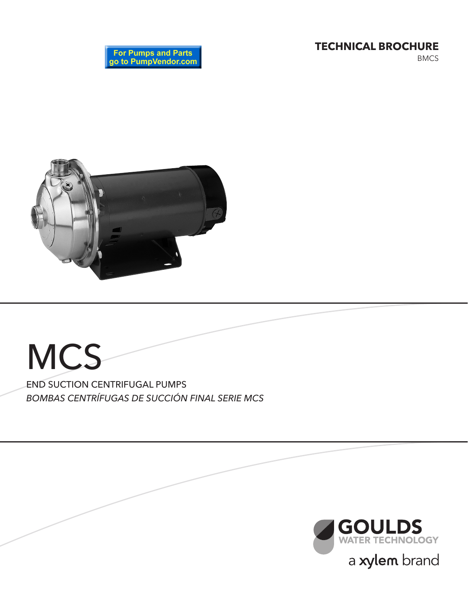# **TECHNICAL BROCHURE** BMCS

**For Pumps and Parts**<br>go to PumpVendor.com



# **MCS** END SUCTION CENTRIFUGAL PUMPS *BOMBAS CENTRÍFUGAS DE SUCCIÓN FINAL SERIE MCS*

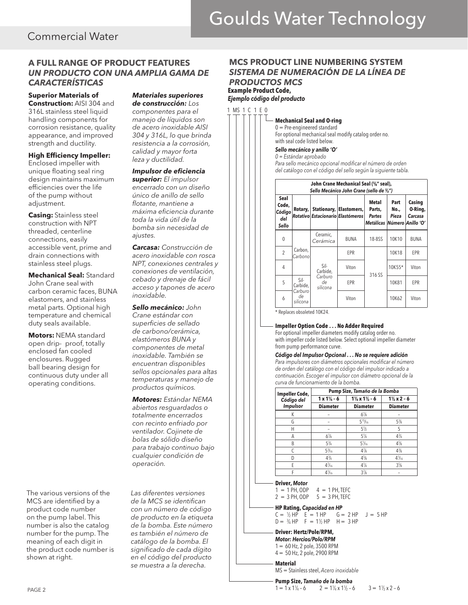# Commercial Water

## **A FULL RANGE OF PRODUCT FEATURES**  *UN PRODUCTO CON UNA AMPLIA GAMA DE CARACTERÍSTICAS*

**Superior Materials of Construction:** AISI 304 and 316L stainless steel liquid handling components for corrosion resistance, quality appearance, and improved strength and ductility.

**High Efficiency Impeller:**  Enclosed impeller with unique floating seal ring design maintains maximum efficiencies over the life of the pump without adjustment.

**Casing:** Stainless steel construction with NPT threaded, centerline connections, easily accessible vent, prime and drain connections with stainless steel plugs.

**Mechanical Seal:** Standard John Crane seal with carbon ceramic faces, BUNA elastomers, and stainless metal parts. Optional high temperature and chemical duty seals available.

**Motors:** NEMA standard open drip- proof, totally enclosed fan cooled enclosures. Rugged ball bearing design for continuous duty under all operating conditions.

The various versions of the MCS are identified by a product code number on the pump label. This number is also the catalog number for the pump. The meaning of each digit in the product code number is shown at right.

# *Materiales superiores de construcción: Los componentes para el*

*manejo de líquidos son de acero inoxidable AISI 304 y 316L, lo que brinda resistencia a la corrosión, calidad y mayor forta leza y ductilidad.*

### *Impulsor de eficiencia superior: El impulsor encerrado con un diseño único de anillo de sello flotante, mantiene a máxima eficiencia durante toda la vida útil de la bomba sin necesidad de ajustes.*

*Carcasa: Construcción de acero inoxidable con rosca NPT, conexiones centrales y conexiones de ventilación, cebado y drenaje de fácil acceso y tapones de acero inoxidable.*

*Sello mecánico: John Crane estándar con superficies de sellado de carbono/cerámica, elastómeros BUNA y componentes de metal inoxidable. También se encuentran disponibles sellos opcionales para altas temperaturas y manejo de productos químicos.*

*Motores: Estándar NEMA abiertos resguardados o totalmente encerrados con recinto enfriado por ventilador. Cojinete de bolas de sólido diseño para trabajo continuo bajo cualquier condición de operación.*

*Las diferentes versiones de la MCS se identifican con un número de código de producto en la etiqueta de la bomba. Este número es también el número de catálogo de la bomba. El significado de cada dígito en el código del producto se muestra a la derecha.*

# **MCS PRODUCT LINE NUMBERING SYSTEM**  *SISTEMA DE NUMERACIÓN DE LA LÍNEA DE PRODUCTOS MCS*

**Example Product Code,**  *Ejemplo código del producto*

1 MS 1 C 1 E 0

### **Mechanical Seal and O-ring**

0 = Pre-engineered standard For optional mechanical seal modify catalog order no. with seal code listed below.

*Sello mecánico y anillo 'O'*

*0 = Estándar aprobado Para sello mecánico opcional modificar el número de orden del catálogo con el código del sello según la siguiente tabla.*

| John Crane Mechanical Seal (%" seal),<br>Sello Mecánico John Crane (sello de 5/8") |                           |                                       |                                                  |                                                                 |                       |                              |
|------------------------------------------------------------------------------------|---------------------------|---------------------------------------|--------------------------------------------------|-----------------------------------------------------------------|-----------------------|------------------------------|
| Seal<br>Code,<br>Código<br>del<br>Sello                                            | Rotary,                   | Stationary,                           | Elastomers,<br>Rotativo Estacionario Elastómeros | <b>Metal</b><br>Parts,<br>Partes<br>Metálicas Número Anillo 'O' | Part<br>No.,<br>Pieza | Casing<br>O-Ring,<br>Carcasa |
| $\mathbf{0}$                                                                       |                           | Ceramic,<br>Cerámica                  | <b>BUNA</b>                                      | 18-8SS                                                          | 10K10                 | <b>BUNA</b>                  |
| $\overline{2}$                                                                     | Carbon,<br>Carbono        |                                       | <b>EPR</b>                                       |                                                                 | 10K18                 | <b>EPR</b>                   |
| 4                                                                                  |                           | Sil-<br>Carbide,                      | Viton                                            | 316 SS                                                          | 10K55*                | Viton                        |
| 5                                                                                  | Sil-                      | Carburo<br>de<br>Carbide,<br>silicona | <b>EPR</b>                                       |                                                                 | 10K81                 | <b>EPR</b>                   |
| 6                                                                                  | Carburo<br>de<br>silicona |                                       | Viton                                            |                                                                 | 10K62                 | Viton                        |

\* Replaces obsoleted 10K24.

### **Impeller Option Code . . . No Adder Required**

For optional impeller diameters modify catalog order no. with impeller code listed below. Select optional impeller diameter from pump performance curve.

*Código del Impulsor Opcional . . . No se requiere adición Para impulsores con diámetros opcionales modificar el número de orden del catálogo con el código del impulsor indicado a continuación. Escoger el impulsor con diámetro opcional de la curva de funcionamiento de la bomba.*

| <b>Impeller Code,</b> | Pump Size, Tamaño de la Bomba |                                     |                      |  |  |  |
|-----------------------|-------------------------------|-------------------------------------|----------------------|--|--|--|
| Código del            | $1 \times 1\frac{1}{4} - 6$   | $1\frac{1}{4}$ x $1\frac{1}{2}$ - 6 | $1\frac{1}{2}x2 - 6$ |  |  |  |
| <b>Impulsor</b>       | <b>Diameter</b>               | <b>Diameter</b>                     | <b>Diameter</b>      |  |  |  |
| K                     |                               | $6\frac{1}{8}$                      |                      |  |  |  |
| G                     |                               | $5^{15}/_{16}$                      | $5\frac{3}{8}$       |  |  |  |
| Н                     |                               | $5\%$                               | 5                    |  |  |  |
| Α                     | $6\frac{1}{8}$                | $5\frac{1}{4}$                      | $4^{3}/_{4}$         |  |  |  |
| B                     | $5\frac{3}{4}$                | $5\frac{1}{16}$                     | $4\frac{5}{8}$       |  |  |  |
| C                     | $5\frac{3}{16}$               | $4\frac{7}{8}$                      | $4\frac{3}{8}$       |  |  |  |
| D                     | $4^{3}/_{4}$                  | $4\frac{5}{8}$                      | $4\frac{1}{16}$      |  |  |  |
| F                     | $4\frac{7}{16}$               | $4\frac{1}{4}$                      | $3\frac{5}{8}$       |  |  |  |
| F                     | $4\frac{1}{16}$               | $3\frac{7}{8}$                      |                      |  |  |  |

**Driver,** *Motor*<br>1 = 1PH. ODP

 $4 = 1$  PH, TEFC  $2 = 3$  PH, ODP  $5 = 3$  PH, TEFC

**HP Rating,** *Capacidad en HP*

 $C = \frac{1}{2} H P$   $E = 1 H P$   $G = 2 H P$   $J = 5 H P$  $D = \frac{3}{4} H P$  F = 1 $\frac{1}{2} H P$  H = 3 HP

### **Driver: Hertz/Pole/RPM,**

*Motor: Hercios/Polo/RPM* 1= 60 Hz, 2 pole, 3500 RPM 4= 50 Hz, 2 pole, 2900 RPM

**Material**

MS = Stainless steel, *Acero inoxidable*

**Pump Size,** *Tamaño de la bomba*  $1 = 1 \times 1\frac{1}{4} - 6$  $\sqrt{4}-6$  2 = 1 $\sqrt{4}$  x 1<sup>1</sup>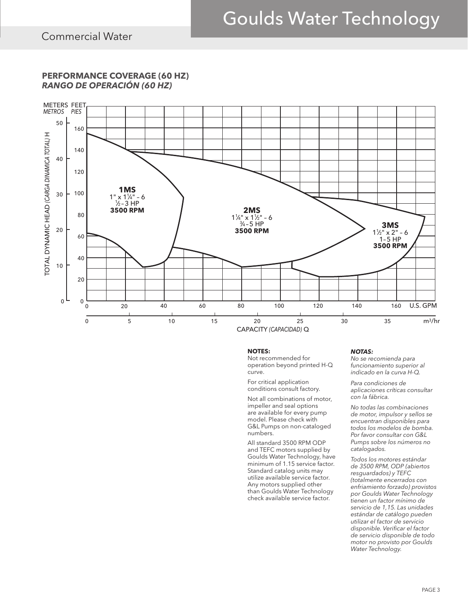# **PERFORMANCE COVERAGE (60 HZ)** *RANGO DE OPERACIÓN (60 HZ)*



### **NOTES:**

Not recommended for operation beyond printed H-Q curve.

For critical application conditions consult factory.

Not all combinations of motor, impeller and seal options are available for every pump model. Please check with G&L Pumps on non-cataloged numbers.

All standard 3500 RPM ODP and TEFC motors supplied by Goulds Water Technology, have minimum of 1.15 service factor. Standard catalog units may utilize available service factor. Any motors supplied other than Goulds Water Technology check available service factor.

### *NOTAS:*

*No se recomienda para funcionamiento superior al indicado en la curva H-Q.*

*Para condiciones de aplicaciones críticas consultar con la fábrica.*

*No todas las combinaciones de motor, impulsor y sellos se encuentran disponibles para todos los modelos de bomba. Por favor consultar con G&L Pumps sobre los números no catalogados.*

*Todos los motores estándar de 3500 RPM, ODP (abiertos resguardados) y TEFC (totalmente encerrados con enfriamiento forzado) provistos por Goulds Water Technology tienen un factor mínimo de servicio de 1,15. Las unidades estándar de catálogo pueden utilizar el factor de servicio disponible. Verificar el factor de servicio disponible de todo motor no provisto por Goulds Water Technology.*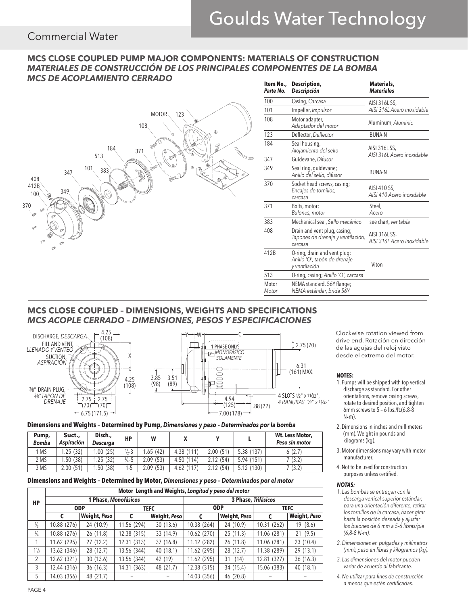# Commercial Water

## **MCS CLOSE COUPLED PUMP MAJOR COMPONENTS: MATERIALS OF CONSTRUCTION**  *MATERIALES DE CONSTRUCCIÓN DE LOS PRINCIPALES COMPONENTES DE LA BOMBA MCS DE ACOPLAMIENTO CERRADO*



| Item No.,<br>Parte No. | Description,<br><b>Descripción</b>                                            | Materials,<br><b>Materiales</b>            |
|------------------------|-------------------------------------------------------------------------------|--------------------------------------------|
| 100                    | Casing, Carcasa                                                               | AISI 316L SS,                              |
| 101                    | Impeller, Impulsor                                                            | AISI 316L Acero inoxidable                 |
| 108                    | Motor adapter,<br>Adaptador del motor                                         | Aluminum, Aluminio                         |
| 123                    | Deflector, Deflector                                                          | <b>BUNA-N</b>                              |
| 184                    | Seal housing,<br>Alojamiento del sello                                        | AISI 316LSS,<br>AISI 316L Acero inoxidable |
| 347                    | Guidevane, Difusor                                                            |                                            |
| 349                    | Seal ring, guidevane;<br>Anillo del sello, difusor                            | <b>BUNA-N</b>                              |
| 370                    | Socket head screws, casing;<br>Encajes de tornillos,<br>carcasa               | AISI 410 SS,<br>AISI 410 Acero inoxidable  |
| 371                    | Bolts, motor;<br>Bulones, motor                                               | Steel,<br>Acero                            |
| 383                    | Mechanical seal, Sello mecánico                                               | see chart, ver tabla                       |
| 408                    | Drain and vent plug, casing;<br>Tapones de drenaje y ventilación,<br>carcasa  | AISI 316LSS,<br>AISI 316L Acero inoxidable |
| 412 <sub>R</sub>       | O-ring, drain and vent plug;<br>Anillo 'O', tapón de drenaje<br>y ventilación | Viton                                      |
| 513                    | O-ring, casing; Anillo 'O', carcasa                                           |                                            |
| Motor<br>Motor         | NEMA standard, 56Y flange;<br>NEMA estándar, brida 56Y                        |                                            |

### **MCS CLOSE COUPLED – DIMENSIONS, WEIGHTS AND SPECIFICATIONS**  *MCS ACOPLE CERRADO – DIMENSIONES, PESOS Y ESPECIFICACIONES*





**Dimensions and Weights – Determined by Pump,** *Dimensiones y peso – Determinados por la bomba*

| Pump,<br><b>Bomba</b> | Suct.,<br><b>Aspiración</b> | Disch.,<br>Descarga | НP                | W         |            |           |            | Wt. Less Motor,<br>Peso sin motor |
|-----------------------|-----------------------------|---------------------|-------------------|-----------|------------|-----------|------------|-----------------------------------|
| 1 MS                  | .25(32)                     | .00(25)             | $\frac{1}{2}$ -3  | 1.65 (42) | 4.38 (111) | 2.00 (51) | 5.38 (137) | 6(2.7)                            |
| 2 MS                  | 1.50(38)                    | 1.25 (32)           | $\frac{3}{4} - 5$ | 2.09(53)  | 4.50 (114) | 2.12(54)  | 5.94 (151) | 7(3.2)                            |
| 3 MS                  | 2.00(51)                    | 1.50(38)            | 1-5               | 2.09(53)  | 4.62 (117) | 2.12 (54) | 5.12 (130) | (3.2)                             |

### **Dimensions and Weights – Determined by Motor,** *Dimensiones y peso – Determinados por el motor*

| Motor Length and Weights, Longitud y peso del motor |             |              |                          |                     |                     |                     |             |                     |  |
|-----------------------------------------------------|-------------|--------------|--------------------------|---------------------|---------------------|---------------------|-------------|---------------------|--|
| HP                                                  |             |              | 1 Phase, Monofásicos     |                     | 3 Phase, Trifásicos |                     |             |                     |  |
|                                                     |             | <b>ODP</b>   | <b>TEFC</b>              |                     | <b>ODP</b>          |                     | <b>TEFC</b> |                     |  |
|                                                     |             | Weight, Peso |                          | <b>Weight, Peso</b> |                     | <b>Weight, Peso</b> |             | <b>Weight, Peso</b> |  |
| $\frac{1}{2}$                                       | 10.88 (276) | 24 (10.9)    | 11.56 (294)              | 30(13.6)            | 10.38 (264)         | 24 (10.9)           | 10.31 (262) | 19 (8.6)            |  |
| $\frac{3}{4}$                                       | 10.88 (276) | 26(11.8)     | 12.38 (315)              | 33 (14.9)           | 10.62 (270)         | 25(11.3)            | 11.06 (281) | 21(9.5)             |  |
|                                                     | 11.62 (295) | 27(12.2)     | 12.31 (313)              | 37(16.8)            | 11.12 (282)         | 26 (11.8)           | 11.06 (281) | 23 (10.4)           |  |
| $1\frac{1}{2}$                                      | 13.62 (346) | 28 (12.7)    | 13.56 (344)              | 40 (18.1)           | 11.62 (295)         | 28 (12.7)           | 11.38 (289) | 29(13.1)            |  |
| 2                                                   | 12.62 (321) | 30(13.6)     | 13.56 (344)              | 42 (19)             | 11.62 (295)         | 31<br>(14)          | 12.81 (327) | 36(16.3)            |  |
| 3                                                   | 12.44 (316) | 36(16.3)     | 14.31 (363)              | 48 (21.7)           | 12.38 (315)         | 34 (15.4)           | 15.06 (383) | 40 (18.1)           |  |
| 5                                                   | 14.03 (356) | 48 (21.7)    | $\overline{\phantom{0}}$ |                     | 14.03 (356)         | 46 (20.8)           |             |                     |  |

Clockwise rotation viewed from drive end. Rotación en dirección de las agujas del reloj visto desde el extremo del motor.

### **NOTES:**

- 1. Pumps will be shipped with top vertical discharge as standard. For other orientations, remove casing screws, rotate to desired position, and tighten 6mm screws to 5 – 6 lbs./ft.(6.8-8  $N_{\bullet}$ m $)$
- 2. Dimensions in inches and millimeters (mm). Weight in pounds and kilograms (kg).
- 3. Motor dimensions may vary with motor manufacturer.
- 4. Not to be used for construction purposes unless certified.

### *NOTAS:*

- *1. Las bombas se entregan con la descarga vertical superior estándar; para una orientación diferente, retirar los tornillos de la carcasa, hacer girar hasta la posición deseada y ajustar los bulones de 6 mm a 5-6 libras/pie (6,8-8 N-m).*
- *2. Dimensiones en pulgadas y milímetros (mm), peso en libras y kilogramos (kg).*
- *3. Las dimensiones del motor pueden variar de acuerdo al fabricante.*
- *4. No utilizar para fines de construcción a menos que estén certificadas.*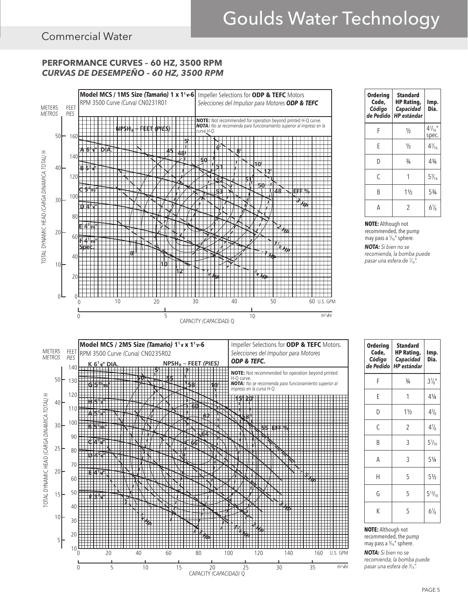# Goulds Water Technology

# Commercial Water

# **PERFORMANCE CURVES – 60 HZ, 3500 RPM** *CURVAS DE DESEMPEÑO – 60 HZ, 3500 RPM*



| <b>Ordering</b><br>Code,<br>Código<br>de Pedido | Standard<br><b>HP Rating,</b><br>Capacidad<br><b>HP</b> estándar | Imp.<br>Dia.               |
|-------------------------------------------------|------------------------------------------------------------------|----------------------------|
| F                                               | $\frac{1}{2}$                                                    | $4\frac{1}{16}$ "<br>spec. |
| F                                               | $\frac{1}{2}$                                                    | $4\frac{7}{16}$            |
| D                                               | $\frac{3}{4}$                                                    | $4\frac{3}{4}$             |
| C                                               | 1                                                                | $5\frac{3}{16}$            |
| B                                               | $1\frac{1}{2}$                                                   | $5\frac{3}{4}$             |
|                                                 | 2                                                                | $6\frac{1}{8}$             |

**NOTE:** Although not recommended, the pump may pass a 1/16" sphere.

*NOTA: Si bien no se recomienda, la bomba puede pasar una esfera de 1⁄16".*

| <b>Ordering</b><br>Code,<br>Código<br>de Pedido | <b>Standard</b><br><b>HP Rating,</b><br>Capacidad<br><b>HP</b> estándar | Imp.<br>Dia.     |
|-------------------------------------------------|-------------------------------------------------------------------------|------------------|
| F                                               | $\frac{3}{4}$                                                           | $3\frac{7}{8}$ " |
| F                                               | 1                                                                       | 41/4             |
| D                                               | $1\frac{1}{2}$                                                          | $4\frac{5}{8}$   |
| C                                               | $\overline{2}$                                                          | $4\frac{7}{8}$   |
| B                                               | 3                                                                       | $5\frac{1}{16}$  |
| Α                                               | 3                                                                       | $5\frac{1}{4}$   |
| Н                                               | 5                                                                       | $5\frac{1}{2}$   |
| G                                               | 5                                                                       | $5^{15}/_{16}$   |
| K                                               | 5                                                                       | $6\frac{1}{8}$   |

**NOTE:** Although not

recommended, the pump may pass a  $\frac{3}{16}$ " sphere.

*NOTA: Si bien no se recomienda, la bomba puede pasar una esfera de 3⁄16".*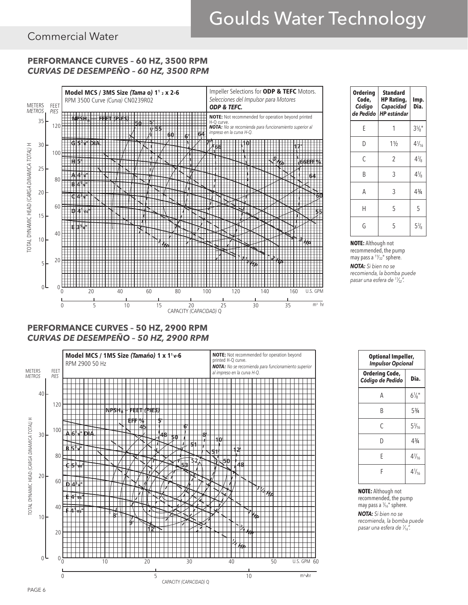# Goulds Water Technology

# Commercial Water

## **PERFORMANCE CURVES – 60 HZ, 3500 RPM** *CURVAS DE DESEMPEÑO – 60 HZ, 3500 RPM*



#### **Ordering Standard**<br>Code, HP Rating **Code, HP Rating, Imp.** *Código Capacidad* **Dia.** *de Pedido HP estándar*  $E \begin{bmatrix} 1 & 3\frac{5}{8} \end{bmatrix}$ **∕**  $D$  1½ ⁄  $4\frac{1}{16}$  $C \begin{array}{|c|c|c|c|c|} \hline \end{array}$  2  $\begin{array}{|c|c|c|c|} \hline \end{array}$  43, ⁄  $4\frac{3}{8}$  $\begin{array}{|c|c|c|c|c|c|} \hline \text{B} & \text{3} & \text{45} \ \hline \end{array}$ ⁄  $4\frac{5}{8}$  $A = \begin{array}{ccc} 3 & 4\frac{3}{4} \end{array}$ H | 5 | 5 G | 5 |  $5^3$ ⁄  $5\frac{3}{8}$

**NOTE:** Although not recommended, the pump may pass a 11/<sub>32</sub>" sphere.

*NOTA: Si bien no se recomienda, la bomba puede pasar una esfera de 11⁄32".*

### **PERFORMANCE CURVES – 50 HZ, 2900 RPM** *CURVAS DE DESEMPEÑO – 50 HZ, 2900 RPM*



| <b>Optional Impeller,</b><br><b>Impulsor Opcional</b> |                 |  |
|-------------------------------------------------------|-----------------|--|
| <b>Ordering Code,</b><br>Código de Pedido             | Dia.            |  |
| А                                                     | $6\%$ "         |  |
| B                                                     | $5\frac{3}{4}$  |  |
| C                                                     | $5\frac{3}{16}$ |  |
| D                                                     | 43/4            |  |
| F                                                     | $4\frac{7}{16}$ |  |
| F                                                     | $4\frac{1}{4}$  |  |

**NOTE:** Although not recommended, the pump may pass a 1/<sub>16</sub>" sphere.

*NOTA: Si bien no se recomienda, la bomba puede pasar una esfera de 1⁄16".*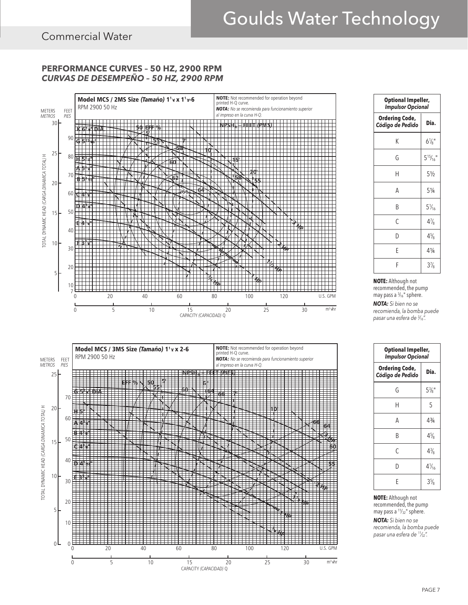# Goulds Water Technology

# Commercial Water

## **PERFORMANCE CURVES – 50 HZ, 2900 RPM** *CURVAS DE DESEMPEÑO – 50 HZ, 2900 RPM*



| <b>Optional Impeller,</b><br><b>Impulsor Opcional</b> |                  |  |
|-------------------------------------------------------|------------------|--|
| <b>Ordering Code,</b><br>Código de Pedido             | Dia.             |  |
| К                                                     | $6\frac{1}{8}$ " |  |
| G                                                     | $5^{15}/_{16}$ " |  |
| Н                                                     | $5\frac{1}{2}$   |  |
| А                                                     | $5\frac{1}{4}$   |  |
| В                                                     | $5\frac{1}{16}$  |  |
| C                                                     | $4\frac{7}{8}$   |  |
| D                                                     | $4\frac{5}{8}$   |  |
| E                                                     | $4\frac{1}{4}$   |  |
| F                                                     | $3\frac{7}{8}$   |  |

**NOTE:** Although not recommended, the pump may pass a 3/16" sphere.

*NOTA: Si bien no se recomienda, la bomba puede pasar una esfera de 3⁄16".*

| <b>Optional Impeller,</b><br><b>Impulsor Opcional</b> |                  |  |
|-------------------------------------------------------|------------------|--|
| <b>Ordering Code,</b><br>Código de Pedido             | Dia.             |  |
| G                                                     | $5\frac{3}{8}$ " |  |
| Н                                                     | 5                |  |
| А                                                     | $4\frac{3}{4}$   |  |
| B                                                     | $4\frac{5}{8}$   |  |
| C                                                     | $4\frac{3}{8}$   |  |
| D                                                     | $4\frac{1}{16}$  |  |
| F                                                     | $3\frac{5}{8}$   |  |

**NOTE:** Although not recommended, the pump may pass a 11/32" sphere.

*NOTA: Si bien no se recomienda, la bomba puede pasar una esfera de 11⁄32".*